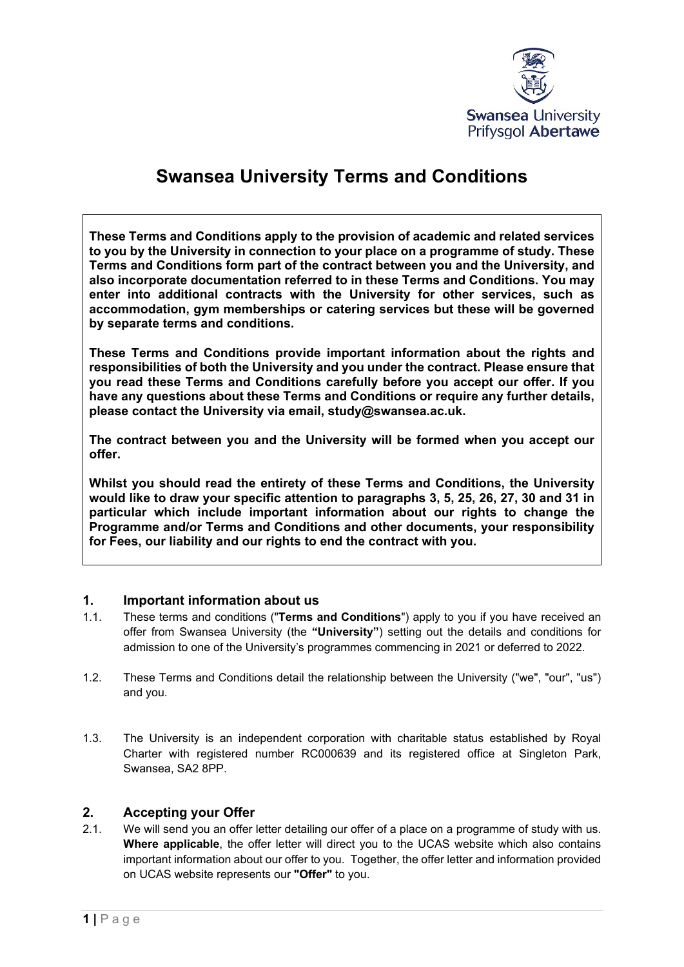

# **Swansea University Terms and Conditions**

**These Terms and Conditions apply to the provision of academic and related services to you by the University in connection to your place on a programme of study. These Terms and Conditions form part of the contract between you and the University, and also incorporate documentation referred to in these Terms and Conditions. You may enter into additional contracts with the University for other services, such as accommodation, gym memberships or catering services but these will be governed by separate terms and conditions.**

**These Terms and Conditions provide important information about the rights and responsibilities of both the University and you under the contract. Please ensure that you read these Terms and Conditions carefully before you accept our offer. If you have any questions about these Terms and Conditions or require any further details, please contact the University via email, study@swansea.ac.uk.**

**The contract between you and the University will be formed when you accept our offer.**

**Whilst you should read the entirety of these Terms and Conditions, the University would like to draw your specific attention to paragraphs [3,](#page-1-0) [5,](#page-4-0) [25,](#page-13-0) [26,](#page-15-0) [27,](#page-16-0) [30](#page-16-1) and [31](#page-17-0) in particular which include important information about our rights to change the Programme and/or Terms and Conditions and other documents, your responsibility for Fees, our liability and our rights to end the contract with you.**

#### **1. Important information about us**

- 1.1. These terms and conditions ("**Terms and Conditions**") apply to you if you have received an offer from Swansea University (the **"University"**) setting out the details and conditions for admission to one of the University's programmes commencing in 2021 or deferred to 2022.
- 1.2. These Terms and Conditions detail the relationship between the University ("we", "our", "us") and you.
- 1.3. The University is an independent corporation with charitable status established by Royal Charter with registered number RC000639 and its registered office at Singleton Park, Swansea, SA2 8PP.

# **2. Accepting your Offer**<br>2.1. We will send you an offer

We will send you an offer letter detailing our offer of a place on a programme of study with us. **Where applicable**, the offer letter will direct you to the UCAS website which also contains important information about our offer to you. Together, the offer letter and information provided on UCAS website represents our **"Offer"** to you.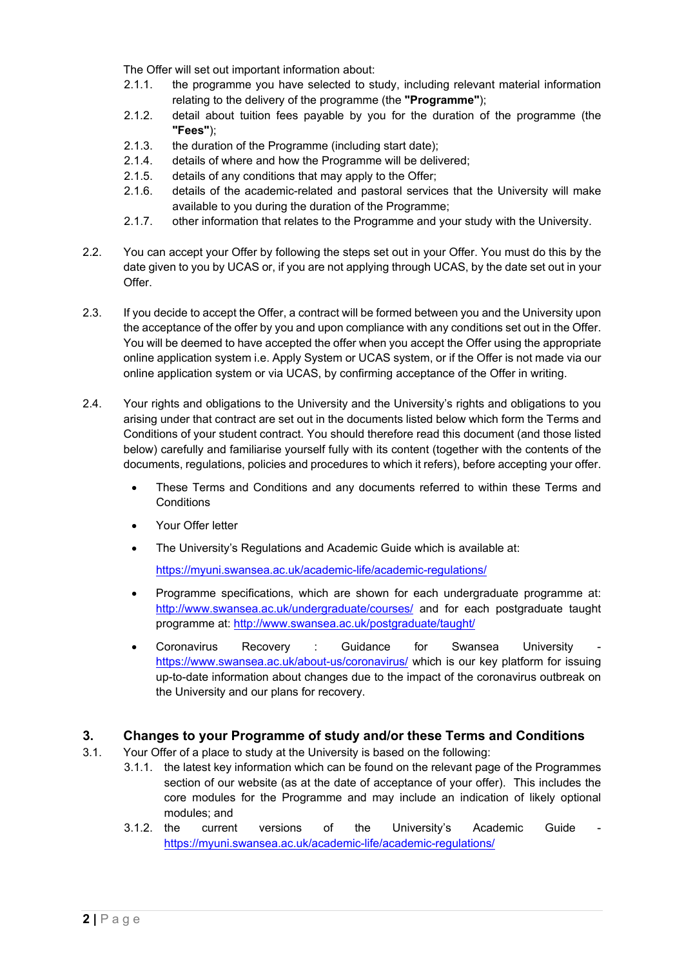The Offer will set out important information about:

- 2.1.1. the programme you have selected to study, including relevant material information relating to the delivery of the programme (the **"Programme"**);
- 2.1.2. detail about tuition fees payable by you for the duration of the programme (the **"Fees"**);
- 2.1.3. the duration of the Programme (including start date);
- 2.1.4. details of where and how the Programme will be delivered;
- 2.1.5. details of any conditions that may apply to the Offer;
- 2.1.6. details of the academic-related and pastoral services that the University will make available to you during the duration of the Programme;
- 2.1.7. other information that relates to the Programme and your study with the University.
- 2.2. You can accept your Offer by following the steps set out in your Offer. You must do this by the date given to you by UCAS or, if you are not applying through UCAS, by the date set out in your Offer.
- 2.3. If you decide to accept the Offer, a contract will be formed between you and the University upon the acceptance of the offer by you and upon compliance with any conditions set out in the Offer. You will be deemed to have accepted the offer when you accept the Offer using the appropriate online application system i.e. Apply System or UCAS system, or if the Offer is not made via our online application system or via UCAS, by confirming acceptance of the Offer in writing.
- 2.4. Your rights and obligations to the University and the University's rights and obligations to you arising under that contract are set out in the documents listed below which form the Terms and Conditions of your student contract. You should therefore read this document (and those listed below) carefully and familiarise yourself fully with its content (together with the contents of the documents, regulations, policies and procedures to which it refers), before accepting your offer.
	- These Terms and Conditions and any documents referred to within these Terms and **Conditions**
	- Your Offer letter
	- The University's Regulations and Academic Guide which is available at:

<https://myuni.swansea.ac.uk/academic-life/academic-regulations/>

- Programme specifications, which are shown for each undergraduate programme at: <http://www.swansea.ac.uk/undergraduate/courses/> and for each postgraduate taught programme at:<http://www.swansea.ac.uk/postgraduate/taught/>
- Coronavirus Recovery : Guidance for Swansea University <https://www.swansea.ac.uk/about-us/coronavirus/> which is our key platform for issuing up-to-date information about changes due to the impact of the coronavirus outbreak on the University and our plans for recovery.

#### <span id="page-1-0"></span>**3. Changes to your Programme of study and/or these Terms and Conditions**

- 3.1. Your Offer of a place to study at the University is based on the following:
	- 3.1.1. the latest key information which can be found on the relevant page of the Programmes section of our website (as at the date of acceptance of your offer). This includes the core modules for the Programme and may include an indication of likely optional modules; and
	- 3.1.2. the current versions of the University's Academic Guide <https://myuni.swansea.ac.uk/academic-life/academic-regulations/>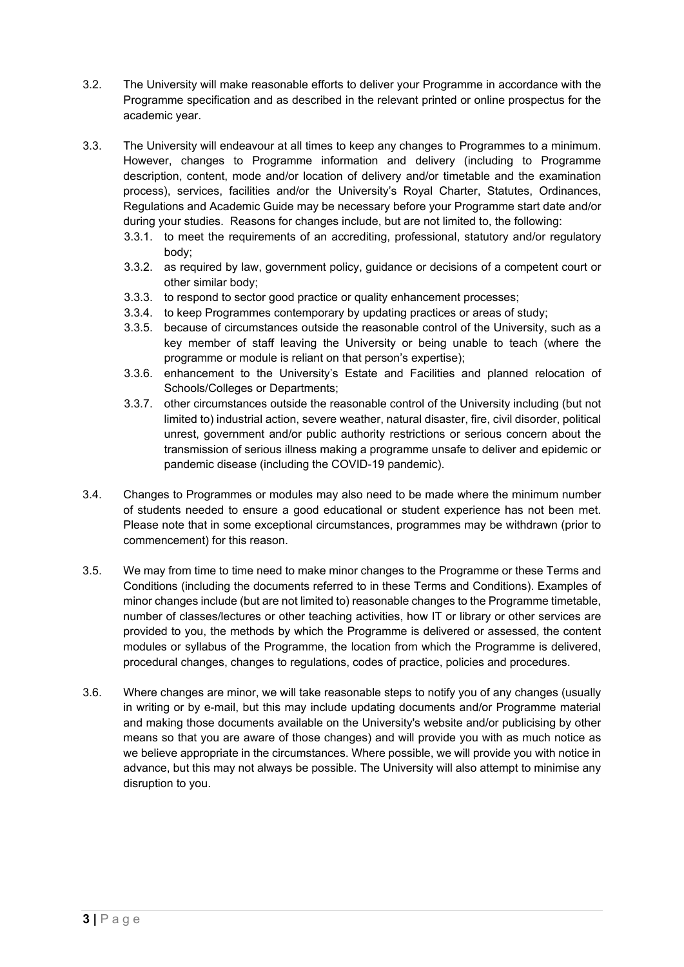- 3.2. The University will make reasonable efforts to deliver your Programme in accordance with the Programme specification and as described in the relevant printed or online prospectus for the academic year.
- 3.3. The University will endeavour at all times to keep any changes to Programmes to a minimum. However, changes to Programme information and delivery (including to Programme description, content, mode and/or location of delivery and/or timetable and the examination process), services, facilities and/or the University's Royal Charter, Statutes, Ordinances, Regulations and Academic Guide may be necessary before your Programme start date and/or during your studies. Reasons for changes include, but are not limited to, the following:
	- 3.3.1. to meet the requirements of an accrediting, professional, statutory and/or regulatory body;
	- 3.3.2. as required by law, government policy, guidance or decisions of a competent court or other similar body;
	- 3.3.3. to respond to sector good practice or quality enhancement processes;
	- 3.3.4. to keep Programmes contemporary by updating practices or areas of study;
	- 3.3.5. because of circumstances outside the reasonable control of the University, such as a key member of staff leaving the University or being unable to teach (where the programme or module is reliant on that person's expertise);
	- 3.3.6. enhancement to the University's Estate and Facilities and planned relocation of Schools/Colleges or Departments;
	- 3.3.7. other circumstances outside the reasonable control of the University including (but not limited to) industrial action, severe weather, natural disaster, fire, civil disorder, political unrest, government and/or public authority restrictions or serious concern about the transmission of serious illness making a programme unsafe to deliver and epidemic or pandemic disease (including the COVID-19 pandemic).
- 3.4. Changes to Programmes or modules may also need to be made where the minimum number of students needed to ensure a good educational or student experience has not been met. Please note that in some exceptional circumstances, programmes may be withdrawn (prior to commencement) for this reason.
- 3.5. We may from time to time need to make minor changes to the Programme or these Terms and Conditions (including the documents referred to in these Terms and Conditions). Examples of minor changes include (but are not limited to) reasonable changes to the Programme timetable, number of classes/lectures or other teaching activities, how IT or library or other services are provided to you, the methods by which the Programme is delivered or assessed, the content modules or syllabus of the Programme, the location from which the Programme is delivered, procedural changes, changes to regulations, codes of practice, policies and procedures.
- 3.6. Where changes are minor, we will take reasonable steps to notify you of any changes (usually in writing or by e-mail, but this may include updating documents and/or Programme material and making those documents available on the University's website and/or publicising by other means so that you are aware of those changes) and will provide you with as much notice as we believe appropriate in the circumstances. Where possible, we will provide you with notice in advance, but this may not always be possible. The University will also attempt to minimise any disruption to you.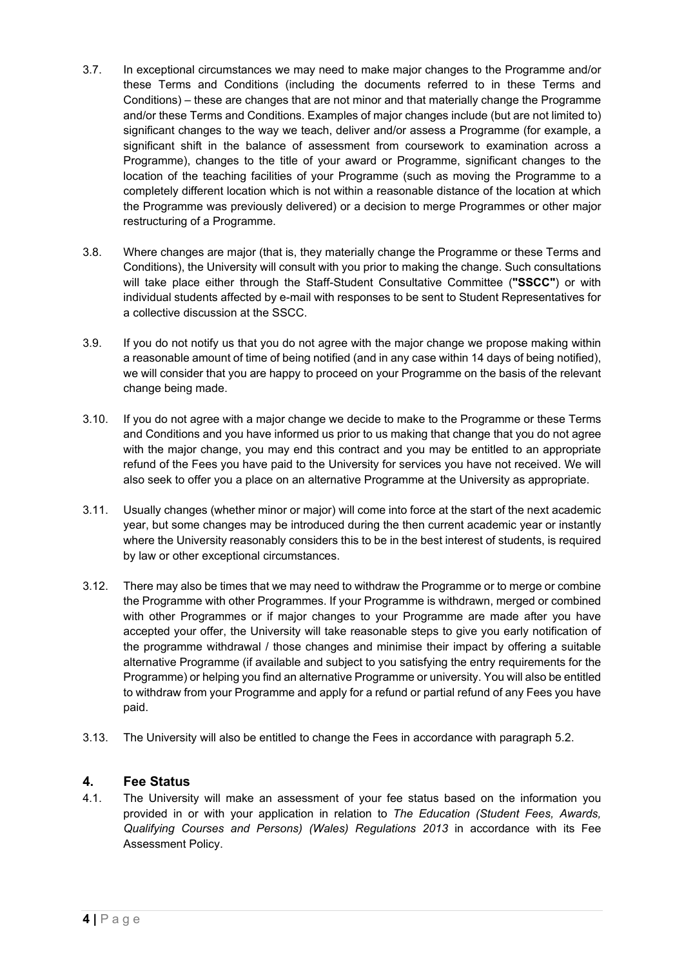- <span id="page-3-0"></span>3.7. In exceptional circumstances we may need to make major changes to the Programme and/or these Terms and Conditions (including the documents referred to in these Terms and Conditions) – these are changes that are not minor and that materially change the Programme and/or these Terms and Conditions. Examples of major changes include (but are not limited to) significant changes to the way we teach, deliver and/or assess a Programme (for example, a significant shift in the balance of assessment from coursework to examination across a Programme), changes to the title of your award or Programme, significant changes to the location of the teaching facilities of your Programme (such as moving the Programme to a completely different location which is not within a reasonable distance of the location at which the Programme was previously delivered) or a decision to merge Programmes or other major restructuring of a Programme.
- 3.8. Where changes are major (that is, they materially change the Programme or these Terms and Conditions), the University will consult with you prior to making the change. Such consultations will take place either through the Staff-Student Consultative Committee (**"SSCC"**) or with individual students affected by e-mail with responses to be sent to Student Representatives for a collective discussion at the SSCC.
- 3.9. If you do not notify us that you do not agree with the major change we propose making within a reasonable amount of time of being notified (and in any case within 14 days of being notified), we will consider that you are happy to proceed on your Programme on the basis of the relevant change being made.
- <span id="page-3-1"></span>3.10. If you do not agree with a major change we decide to make to the Programme or these Terms and Conditions and you have informed us prior to us making that change that you do not agree with the major change, you may end this contract and you may be entitled to an appropriate refund of the Fees you have paid to the University for services you have not received. We will also seek to offer you a place on an alternative Programme at the University as appropriate.
- 3.11. Usually changes (whether minor or major) will come into force at the start of the next academic year, but some changes may be introduced during the then current academic year or instantly where the University reasonably considers this to be in the best interest of students, is required by law or other exceptional circumstances.
- 3.12. There may also be times that we may need to withdraw the Programme or to merge or combine the Programme with other Programmes. If your Programme is withdrawn, merged or combined with other Programmes or if major changes to your Programme are made after you have accepted your offer, the University will take reasonable steps to give you early notification of the programme withdrawal / those changes and minimise their impact by offering a suitable alternative Programme (if available and subject to you satisfying the entry requirements for the Programme) or helping you find an alternative Programme or university. You will also be entitled to withdraw from your Programme and apply for a refund or partial refund of any Fees you have paid.
- 3.13. The University will also be entitled to change the Fees in accordance with paragraph [5.2.](#page-4-1)

#### **4. Fee Status**

4.1. The University will make an assessment of your fee status based on the information you provided in or with your application in relation to *The Education (Student Fees, Awards, Qualifying Courses and Persons) (Wales) Regulations 2013* in accordance with its Fee Assessment Policy.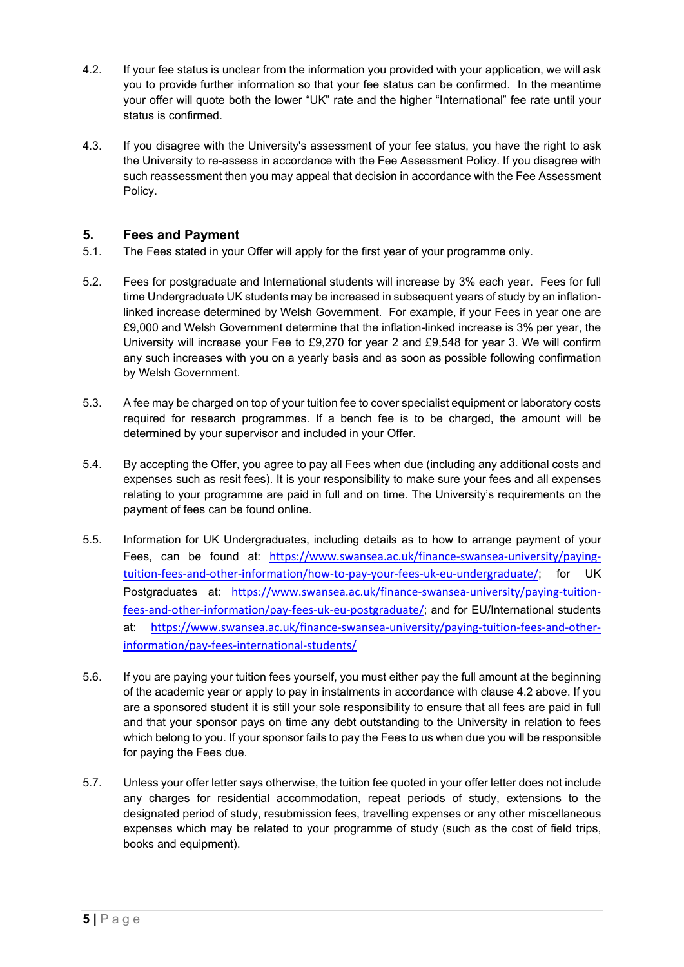- 4.2. If your fee status is unclear from the information you provided with your application, we will ask you to provide further information so that your fee status can be confirmed. In the meantime your offer will quote both the lower "UK" rate and the higher "International" fee rate until your status is confirmed.
- 4.3. If you disagree with the University's assessment of your fee status, you have the right to ask the University to re-assess in accordance with the Fee Assessment Policy. If you disagree with such reassessment then you may appeal that decision in accordance with the Fee Assessment Policy.

# <span id="page-4-0"></span>**5. Fees and Payment**

- <span id="page-4-1"></span>5.1. The Fees stated in your Offer will apply for the first year of your programme only.
- 5.2. Fees for postgraduate and International students will increase by 3% each year. Fees for full time Undergraduate UK students may be increased in subsequent years of study by an inflationlinked increase determined by Welsh Government. For example, if your Fees in year one are £9,000 and Welsh Government determine that the inflation-linked increase is 3% per year, the University will increase your Fee to £9,270 for year 2 and £9,548 for year 3. We will confirm any such increases with you on a yearly basis and as soon as possible following confirmation by Welsh Government.
- 5.3. A fee may be charged on top of your tuition fee to cover specialist equipment or laboratory costs required for research programmes. If a bench fee is to be charged, the amount will be determined by your supervisor and included in your Offer.
- 5.4. By accepting the Offer, you agree to pay all Fees when due (including any additional costs and expenses such as resit fees). It is your responsibility to make sure your fees and all expenses relating to your programme are paid in full and on time. The University's requirements on the payment of fees can be found online.
- 5.5. Information for UK Undergraduates, including details as to how to arrange payment of your Fees, can be found at: [https://www.swansea.ac.uk/finance-swansea-university/paying](https://www.swansea.ac.uk/finance-swansea-university/paying-tuition-fees-and-other-information/how-to-pay-your-fees-uk-eu-undergraduate/)[tuition-fees-and-other-information/how-to-pay-your-fees-uk-eu-undergraduate/](https://www.swansea.ac.uk/finance-swansea-university/paying-tuition-fees-and-other-information/how-to-pay-your-fees-uk-eu-undergraduate/); for UK Postgraduates at: [https://www.swansea.ac.uk/finance-swansea-university/paying-tuition](https://www.swansea.ac.uk/finance-swansea-university/paying-tuition-fees-and-other-information/pay-fees-uk-eu-postgraduate/)[fees-and-other-information/pay-fees-uk-eu-postgraduate/](https://www.swansea.ac.uk/finance-swansea-university/paying-tuition-fees-and-other-information/pay-fees-uk-eu-postgraduate/); and for EU/International students at: [https://www.swansea.ac.uk/finance-swansea-university/paying-tuition-fees-and-other](https://www.swansea.ac.uk/finance-swansea-university/paying-tuition-fees-and-other-information/pay-fees-international-students/)[information/pay-fees-international-students/](https://www.swansea.ac.uk/finance-swansea-university/paying-tuition-fees-and-other-information/pay-fees-international-students/)
- 5.6. If you are paying your tuition fees yourself, you must either pay the full amount at the beginning of the academic year or apply to pay in instalments in accordance with clause 4.2 above. If you are a sponsored student it is still your sole responsibility to ensure that all fees are paid in full and that your sponsor pays on time any debt outstanding to the University in relation to fees which belong to you. If your sponsor fails to pay the Fees to us when due you will be responsible for paying the Fees due.
- 5.7. Unless your offer letter says otherwise, the tuition fee quoted in your offer letter does not include any charges for residential accommodation, repeat periods of study, extensions to the designated period of study, resubmission fees, travelling expenses or any other miscellaneous expenses which may be related to your programme of study (such as the cost of field trips, books and equipment).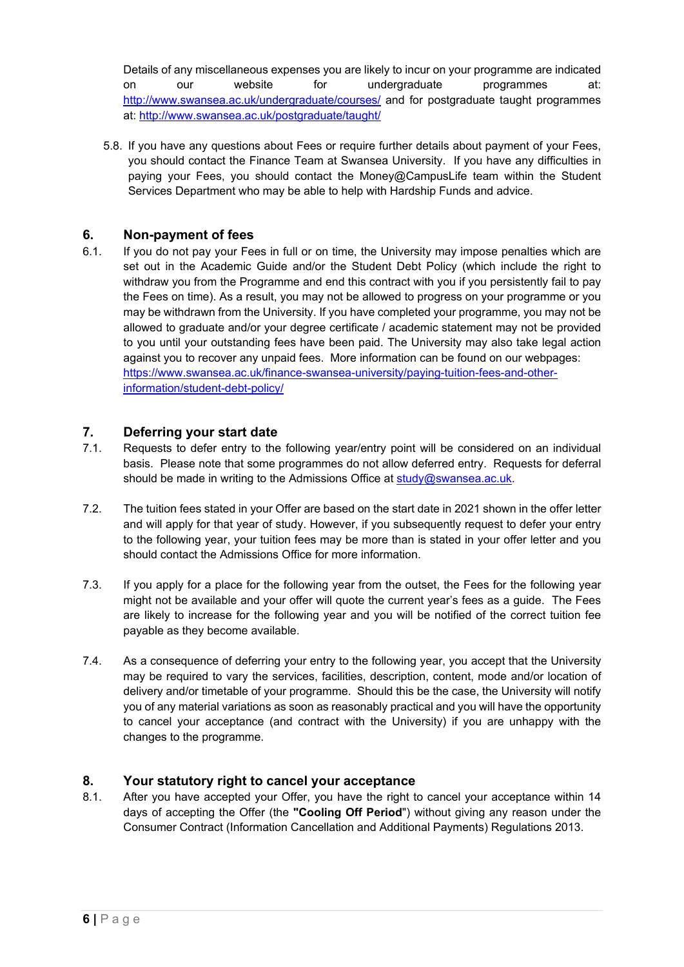Details of any miscellaneous expenses you are likely to incur on your programme are indicated on our website for undergraduate programmes at: <http://www.swansea.ac.uk/undergraduate/courses/> and for postgraduate taught programmes at:<http://www.swansea.ac.uk/postgraduate/taught/>

5.8. If you have any questions about Fees or require further details about payment of your Fees, you should contact the Finance Team at Swansea University. If you have any difficulties in paying your Fees, you should contact the Money@CampusLife team within the Student Services Department who may be able to help with Hardship Funds and advice.

# **6. Non-payment of fees**

6.1. If you do not pay your Fees in full or on time, the University may impose penalties which are set out in the Academic Guide and/or the Student Debt Policy (which include the right to withdraw you from the Programme and end this contract with you if you persistently fail to pay the Fees on time). As a result, you may not be allowed to progress on your programme or you may be withdrawn from the University. If you have completed your programme, you may not be allowed to graduate and/or your degree certificate / academic statement may not be provided to you until your outstanding fees have been paid. The University may also take legal action against you to recover any unpaid fees. More information can be found on our webpages: [https://www.swansea.ac.uk/finance-swansea-university/paying-tuition-fees-and-other](https://www.swansea.ac.uk/finance-swansea-university/paying-tuition-fees-and-other-information/student-debt-policy/)[information/student-debt-policy/](https://www.swansea.ac.uk/finance-swansea-university/paying-tuition-fees-and-other-information/student-debt-policy/)

# **7. Deferring your start date**

- 7.1. Requests to defer entry to the following year/entry point will be considered on an individual basis. Please note that some programmes do not allow deferred entry. Requests for deferral should be made in writing to the Admissions Office at [study@swansea.ac.uk.](mailto:study@swansea.ac.uk)
- 7.2. The tuition fees stated in your Offer are based on the start date in 2021 shown in the offer letter and will apply for that year of study. However, if you subsequently request to defer your entry to the following year, your tuition fees may be more than is stated in your offer letter and you should contact the Admissions Office for more information.
- 7.3. If you apply for a place for the following year from the outset, the Fees for the following year might not be available and your offer will quote the current year's fees as a guide. The Fees are likely to increase for the following year and you will be notified of the correct tuition fee payable as they become available.
- 7.4. As a consequence of deferring your entry to the following year, you accept that the University may be required to vary the services, facilities, description, content, mode and/or location of delivery and/or timetable of your programme. Should this be the case, the University will notify you of any material variations as soon as reasonably practical and you will have the opportunity to cancel your acceptance (and contract with the University) if you are unhappy with the changes to the programme.

#### <span id="page-5-0"></span>**8. Your statutory right to cancel your acceptance**

8.1. After you have accepted your Offer, you have the right to cancel your acceptance within 14 days of accepting the Offer (the **"Cooling Off Period**") without giving any reason under the Consumer Contract (Information Cancellation and Additional Payments) Regulations 2013.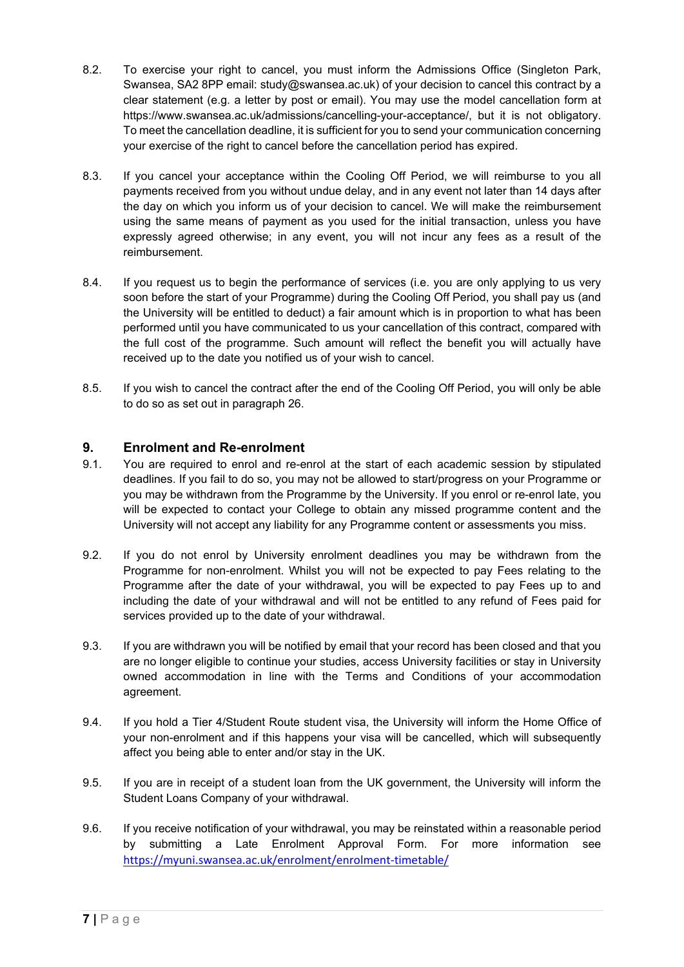- 8.2. To exercise your right to cancel, you must inform the Admissions Office (Singleton Park, Swansea, SA2 8PP email: study@swansea.ac.uk) of your decision to cancel this contract by a clear statement (e.g. a letter by post or email). You may use the model cancellation form at https://www.swansea.ac.uk/admissions/cancelling-your-acceptance/, but it is not obligatory. To meet the cancellation deadline, it is sufficient for you to send your communication concerning your exercise of the right to cancel before the cancellation period has expired.
- 8.3. If you cancel your acceptance within the Cooling Off Period, we will reimburse to you all payments received from you without undue delay, and in any event not later than 14 days after the day on which you inform us of your decision to cancel. We will make the reimbursement using the same means of payment as you used for the initial transaction, unless you have expressly agreed otherwise; in any event, you will not incur any fees as a result of the reimbursement.
- 8.4. If you request us to begin the performance of services (i.e. you are only applying to us very soon before the start of your Programme) during the Cooling Off Period, you shall pay us (and the University will be entitled to deduct) a fair amount which is in proportion to what has been performed until you have communicated to us your cancellation of this contract, compared with the full cost of the programme. Such amount will reflect the benefit you will actually have received up to the date you notified us of your wish to cancel.
- 8.5. If you wish to cancel the contract after the end of the Cooling Off Period, you will only be able to do so as set out in paragraph [26.](#page-15-0)

#### **9. Enrolment and Re-enrolment**

- 9.1. You are required to enrol and re-enrol at the start of each academic session by stipulated deadlines. If you fail to do so, you may not be allowed to start/progress on your Programme or you may be withdrawn from the Programme by the University. If you enrol or re-enrol late, you will be expected to contact your College to obtain any missed programme content and the University will not accept any liability for any Programme content or assessments you miss.
- 9.2. If you do not enrol by University enrolment deadlines you may be withdrawn from the Programme for non-enrolment. Whilst you will not be expected to pay Fees relating to the Programme after the date of your withdrawal, you will be expected to pay Fees up to and including the date of your withdrawal and will not be entitled to any refund of Fees paid for services provided up to the date of your withdrawal.
- 9.3. If you are withdrawn you will be notified by email that your record has been closed and that you are no longer eligible to continue your studies, access University facilities or stay in University owned accommodation in line with the Terms and Conditions of your accommodation agreement.
- 9.4. If you hold a Tier 4/Student Route student visa, the University will inform the Home Office of your non-enrolment and if this happens your visa will be cancelled, which will subsequently affect you being able to enter and/or stay in the UK.
- 9.5. If you are in receipt of a student loan from the UK government, the University will inform the Student Loans Company of your withdrawal.
- 9.6. If you receive notification of your withdrawal, you may be reinstated within a reasonable period by submitting a Late Enrolment Approval Form. For more information see <https://myuni.swansea.ac.uk/enrolment/enrolment-timetable/>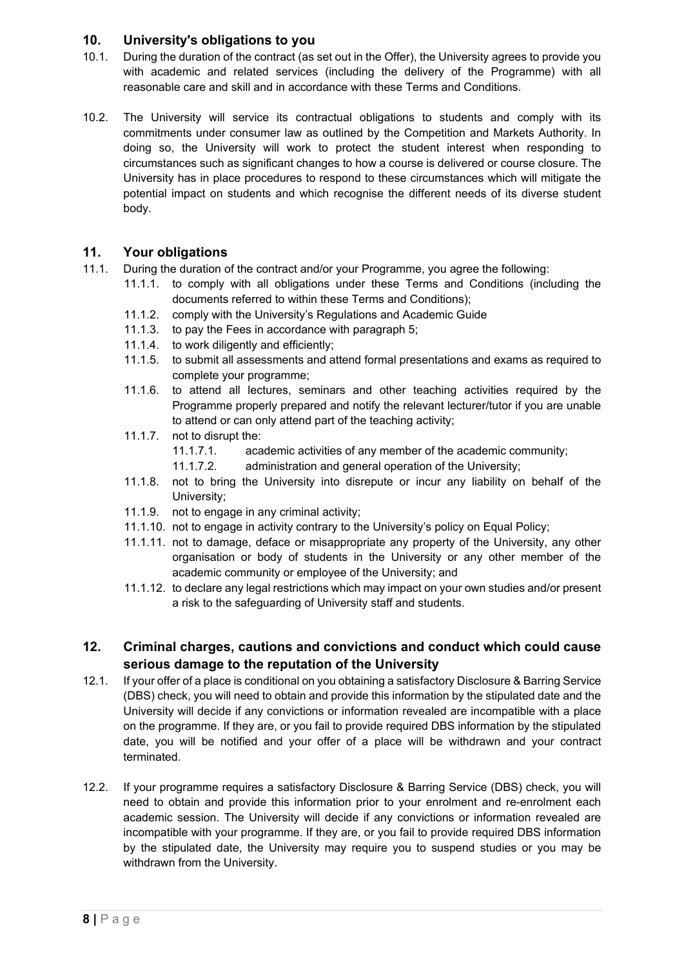# **10. University's obligations to you**

- 10.1. During the duration of the contract (as set out in the Offer), the University agrees to provide you with academic and related services (including the delivery of the Programme) with all reasonable care and skill and in accordance with these Terms and Conditions.
- 10.2. The University will service its contractual obligations to students and comply with its commitments under consumer law as outlined by the Competition and Markets Authority. In doing so, the University will work to protect the student interest when responding to circumstances such as significant changes to how a course is delivered or course closure. The University has in place procedures to respond to these circumstances which will mitigate the potential impact on students and which recognise the different needs of its diverse student body.

# **11. Your obligations**

- 11.1. During the duration of the contract and/or your Programme, you agree the following:
	- 11.1.1. to comply with all obligations under these Terms and Conditions (including the documents referred to within these Terms and Conditions);
	- 11.1.2. comply with the University's Regulations and Academic Guide
	- 11.1.3. to pay the Fees in accordance with paragraph [5;](#page-4-0)
	- 11.1.4. to work diligently and efficiently;
	- 11.1.5. to submit all assessments and attend formal presentations and exams as required to complete your programme;
	- 11.1.6. to attend all lectures, seminars and other teaching activities required by the Programme properly prepared and notify the relevant lecturer/tutor if you are unable to attend or can only attend part of the teaching activity;
	- 11.1.7. not to disrupt the:
		- 11.1.7.1. academic activities of any member of the academic community;
		- 11.1.7.2. administration and general operation of the University;
	- 11.1.8. not to bring the University into disrepute or incur any liability on behalf of the University;
	- 11.1.9. not to engage in any criminal activity;
	- 11.1.10. not to engage in activity contrary to the University's policy on Equal Policy;
	- 11.1.11. not to damage, deface or misappropriate any property of the University, any other organisation or body of students in the University or any other member of the academic community or employee of the University; and
	- 11.1.12. to declare any legal restrictions which may impact on your own studies and/or present a risk to the safeguarding of University staff and students.

# **12. Criminal charges, cautions and convictions and conduct which could cause serious damage to the reputation of the University**

- 12.1. If your offer of a place is conditional on you obtaining a satisfactory Disclosure & Barring Service (DBS) check, you will need to obtain and provide this information by the stipulated date and the University will decide if any convictions or information revealed are incompatible with a place on the programme. If they are, or you fail to provide required DBS information by the stipulated date, you will be notified and your offer of a place will be withdrawn and your contract terminated.
- 12.2. If your programme requires a satisfactory Disclosure & Barring Service (DBS) check, you will need to obtain and provide this information prior to your enrolment and re-enrolment each academic session. The University will decide if any convictions or information revealed are incompatible with your programme. If they are, or you fail to provide required DBS information by the stipulated date, the University may require you to suspend studies or you may be withdrawn from the University.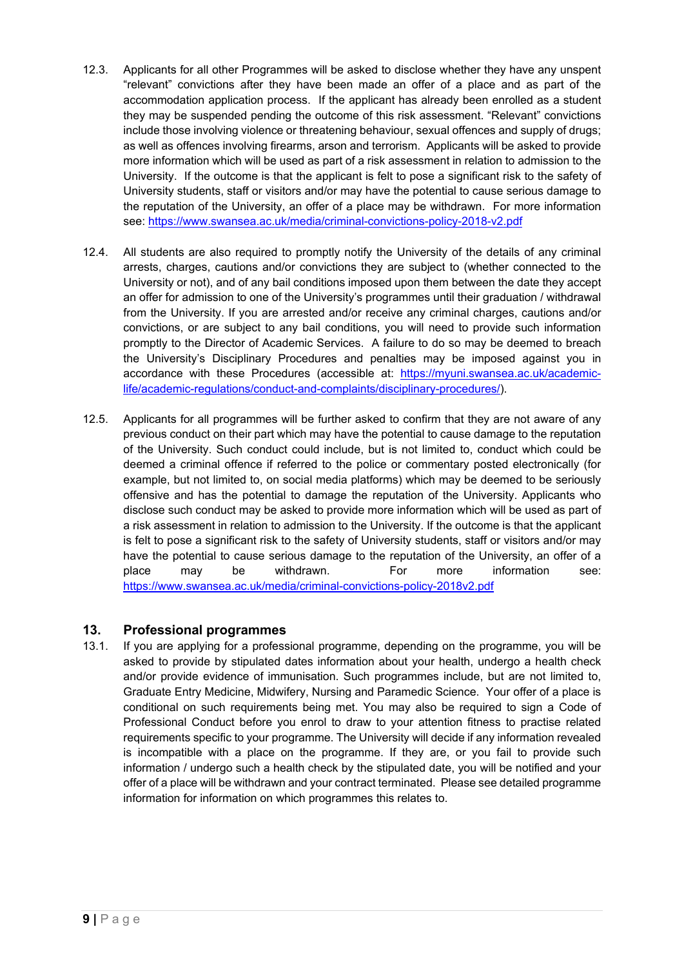- 12.3. Applicants for all other Programmes will be asked to disclose whether they have any unspent "relevant" convictions after they have been made an offer of a place and as part of the accommodation application process. If the applicant has already been enrolled as a student they may be suspended pending the outcome of this risk assessment. "Relevant" convictions include those involving violence or threatening behaviour, sexual offences and supply of drugs; as well as offences involving firearms, arson and terrorism. Applicants will be asked to provide more information which will be used as part of a risk assessment in relation to admission to the University. If the outcome is that the applicant is felt to pose a significant risk to the safety of University students, staff or visitors and/or may have the potential to cause serious damage to the reputation of the University, an offer of a place may be withdrawn. For more information see:<https://www.swansea.ac.uk/media/criminal-convictions-policy-2018-v2.pdf>
- 12.4. All students are also required to promptly notify the University of the details of any criminal arrests, charges, cautions and/or convictions they are subject to (whether connected to the University or not), and of any bail conditions imposed upon them between the date they accept an offer for admission to one of the University's programmes until their graduation / withdrawal from the University. If you are arrested and/or receive any criminal charges, cautions and/or convictions, or are subject to any bail conditions, you will need to provide such information promptly to the Director of Academic Services. A failure to do so may be deemed to breach the University's Disciplinary Procedures and penalties may be imposed against you in accordance with these Procedures (accessible at: [https://myuni.swansea.ac.uk/academic](https://myuni.swansea.ac.uk/academic-life/academic-regulations/conduct-and-complaints/disciplinary-procedures/)[life/academic-regulations/conduct-and-complaints/disciplinary-procedures/\)](https://myuni.swansea.ac.uk/academic-life/academic-regulations/conduct-and-complaints/disciplinary-procedures/).
- 12.5. Applicants for all programmes will be further asked to confirm that they are not aware of any previous conduct on their part which may have the potential to cause damage to the reputation of the University. Such conduct could include, but is not limited to, conduct which could be deemed a criminal offence if referred to the police or commentary posted electronically (for example, but not limited to, on social media platforms) which may be deemed to be seriously offensive and has the potential to damage the reputation of the University. Applicants who disclose such conduct may be asked to provide more information which will be used as part of a risk assessment in relation to admission to the University. If the outcome is that the applicant is felt to pose a significant risk to the safety of University students, staff or visitors and/or may have the potential to cause serious damage to the reputation of the University, an offer of a place may be withdrawn. For more information see: <https://www.swansea.ac.uk/media/criminal-convictions-policy-2018v2.pdf>

# **13. Professional programmes**

13.1. If you are applying for a professional programme, depending on the programme, you will be asked to provide by stipulated dates information about your health, undergo a health check and/or provide evidence of immunisation. Such programmes include, but are not limited to, Graduate Entry Medicine, Midwifery, Nursing and Paramedic Science. Your offer of a place is conditional on such requirements being met. You may also be required to sign a Code of Professional Conduct before you enrol to draw to your attention fitness to practise related requirements specific to your programme. The University will decide if any information revealed is incompatible with a place on the programme. If they are, or you fail to provide such information / undergo such a health check by the stipulated date, you will be notified and your offer of a place will be withdrawn and your contract terminated. Please see detailed programme information for information on which programmes this relates to.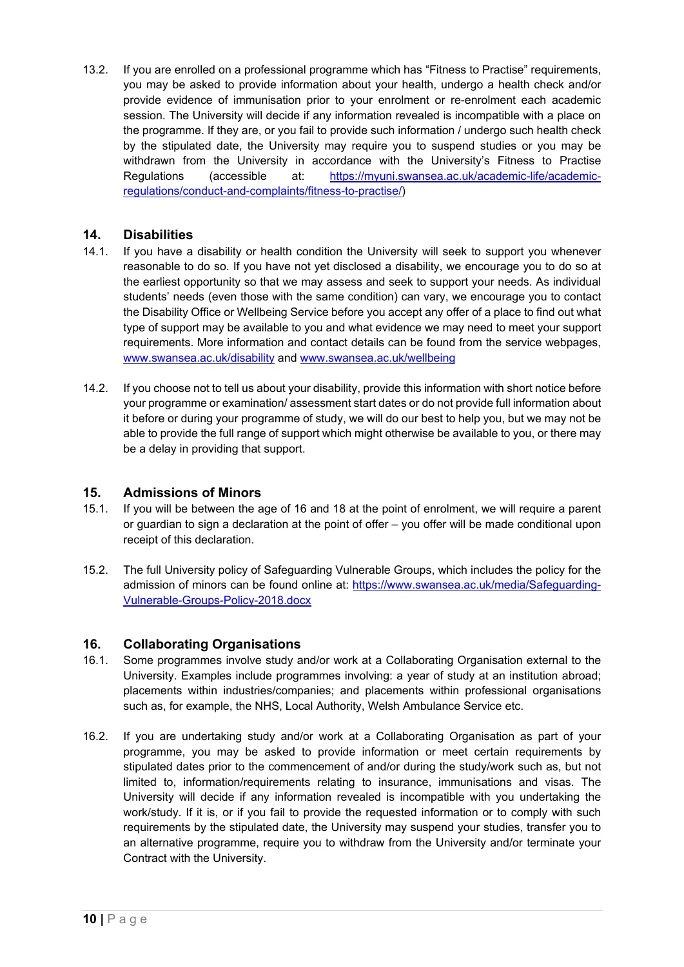13.2. If you are enrolled on a professional programme which has "Fitness to Practise" requirements, you may be asked to provide information about your health, undergo a health check and/or provide evidence of immunisation prior to your enrolment or re-enrolment each academic session. The University will decide if any information revealed is incompatible with a place on the programme. If they are, or you fail to provide such information / undergo such health check by the stipulated date, the University may require you to suspend studies or you may be withdrawn from the University in accordance with the University's Fitness to Practise Regulations (accessible at: [https://myuni.swansea.ac.uk/academic-life/academic](https://myuni.swansea.ac.uk/academic-life/academic-regulations/conduct-and-complaints/fitness-to-practise/)[regulations/conduct-and-complaints/fitness-to-practise/\)](https://myuni.swansea.ac.uk/academic-life/academic-regulations/conduct-and-complaints/fitness-to-practise/)

# **14. Disabilities**

- 14.1. If you have a disability or health condition the University will seek to support you whenever reasonable to do so. If you have not yet disclosed a disability, we encourage you to do so at the earliest opportunity so that we may assess and seek to support your needs. As individual students' needs (even those with the same condition) can vary, we encourage you to contact the Disability Office or Wellbeing Service before you accept any offer of a place to find out what type of support may be available to you and what evidence we may need to meet your support requirements. More information and contact details can be found from the service webpages, [www.swansea.ac.uk/disability](http://www.swansea.ac.uk/disability) and [www.swansea.ac.uk/wellbeing](http://www.swansea.ac.uk/wellbeing)
- 14.2. If you choose not to tell us about your disability, provide this information with short notice before your programme or examination/ assessment start dates or do not provide full information about it before or during your programme of study, we will do our best to help you, but we may not be able to provide the full range of support which might otherwise be available to you, or there may be a delay in providing that support.

#### **15. Admissions of Minors**

- 15.1. If you will be between the age of 16 and 18 at the point of enrolment, we will require a parent or guardian to sign a declaration at the point of offer – you offer will be made conditional upon receipt of this declaration.
- 15.2. The full University policy of Safeguarding Vulnerable Groups, which includes the policy for the admission of minors can be found online at: [https://www.swansea.ac.uk/media/Safeguarding-](https://www.swansea.ac.uk/media/Safeguarding-Vulnerable-Groups-Policy-2018.docx)[Vulnerable-Groups-Policy-2018.docx](https://www.swansea.ac.uk/media/Safeguarding-Vulnerable-Groups-Policy-2018.docx)

#### <span id="page-9-0"></span>**16. Collaborating Organisations**

- 16.1. Some programmes involve study and/or work at a Collaborating Organisation external to the University. Examples include programmes involving: a year of study at an institution abroad; placements within industries/companies; and placements within professional organisations such as, for example, the NHS, Local Authority, Welsh Ambulance Service etc.
- 16.2. If you are undertaking study and/or work at a Collaborating Organisation as part of your programme, you may be asked to provide information or meet certain requirements by stipulated dates prior to the commencement of and/or during the study/work such as, but not limited to, information/requirements relating to insurance, immunisations and visas. The University will decide if any information revealed is incompatible with you undertaking the work/study. If it is, or if you fail to provide the requested information or to comply with such requirements by the stipulated date, the University may suspend your studies, transfer you to an alternative programme, require you to withdraw from the University and/or terminate your Contract with the University.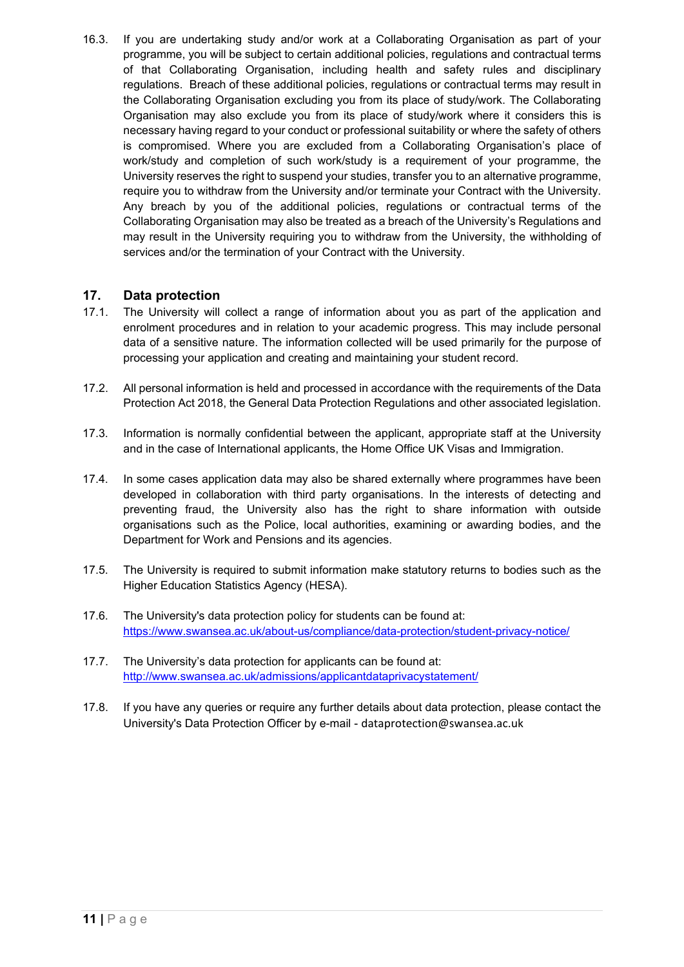16.3. If you are undertaking study and/or work at a Collaborating Organisation as part of your programme, you will be subject to certain additional policies, regulations and contractual terms of that Collaborating Organisation, including health and safety rules and disciplinary regulations. Breach of these additional policies, regulations or contractual terms may result in the Collaborating Organisation excluding you from its place of study/work. The Collaborating Organisation may also exclude you from its place of study/work where it considers this is necessary having regard to your conduct or professional suitability or where the safety of others is compromised. Where you are excluded from a Collaborating Organisation's place of work/study and completion of such work/study is a requirement of your programme, the University reserves the right to suspend your studies, transfer you to an alternative programme, require you to withdraw from the University and/or terminate your Contract with the University. Any breach by you of the additional policies, regulations or contractual terms of the Collaborating Organisation may also be treated as a breach of the University's Regulations and may result in the University requiring you to withdraw from the University, the withholding of services and/or the termination of your Contract with the University.

# **17. Data protection**

- 17.1. The University will collect a range of information about you as part of the application and enrolment procedures and in relation to your academic progress. This may include personal data of a sensitive nature. The information collected will be used primarily for the purpose of processing your application and creating and maintaining your student record.
- 17.2. All personal information is held and processed in accordance with the requirements of the Data Protection Act 2018, the General Data Protection Regulations and other associated legislation.
- 17.3. Information is normally confidential between the applicant, appropriate staff at the University and in the case of International applicants, the Home Office UK Visas and Immigration.
- 17.4. In some cases application data may also be shared externally where programmes have been developed in collaboration with third party organisations. In the interests of detecting and preventing fraud, the University also has the right to share information with outside organisations such as the Police, local authorities, examining or awarding bodies, and the Department for Work and Pensions and its agencies.
- 17.5. The University is required to submit information make statutory returns to bodies such as the Higher Education Statistics Agency (HESA).
- 17.6. The University's data protection policy for students can be found at: <https://www.swansea.ac.uk/about-us/compliance/data-protection/student-privacy-notice/>
- 17.7. The University's data protection for applicants can be found at: <http://www.swansea.ac.uk/admissions/applicantdataprivacystatement/>
- 17.8. If you have any queries or require any further details about data protection, please contact the University's Data Protection Officer by e-mail - [dataprotection@swansea.ac.uk](mailto:dataprotection@swansea.ac.uk)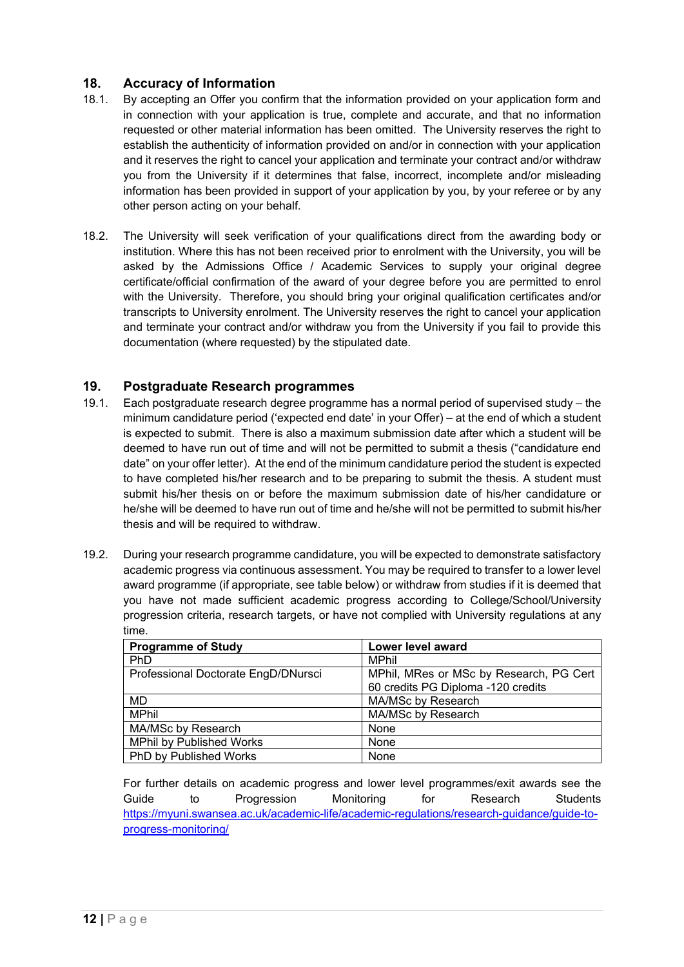# **18. Accuracy of Information**

- 18.1. By accepting an Offer you confirm that the information provided on your application form and in connection with your application is true, complete and accurate, and that no information requested or other material information has been omitted. The University reserves the right to establish the authenticity of information provided on and/or in connection with your application and it reserves the right to cancel your application and terminate your contract and/or withdraw you from the University if it determines that false, incorrect, incomplete and/or misleading information has been provided in support of your application by you, by your referee or by any other person acting on your behalf.
- 18.2. The University will seek verification of your qualifications direct from the awarding body or institution. Where this has not been received prior to enrolment with the University, you will be asked by the Admissions Office / Academic Services to supply your original degree certificate/official confirmation of the award of your degree before you are permitted to enrol with the University. Therefore, you should bring your original qualification certificates and/or transcripts to University enrolment. The University reserves the right to cancel your application and terminate your contract and/or withdraw you from the University if you fail to provide this documentation (where requested) by the stipulated date.

#### **19. Postgraduate Research programmes**

- 19.1. Each postgraduate research degree programme has a normal period of supervised study the minimum candidature period ('expected end date' in your Offer) – at the end of which a student is expected to submit. There is also a maximum submission date after which a student will be deemed to have run out of time and will not be permitted to submit a thesis ("candidature end date" on your offer letter). At the end of the minimum candidature period the student is expected to have completed his/her research and to be preparing to submit the thesis. A student must submit his/her thesis on or before the maximum submission date of his/her candidature or he/she will be deemed to have run out of time and he/she will not be permitted to submit his/her thesis and will be required to withdraw.
- 19.2. During your research programme candidature, you will be expected to demonstrate satisfactory academic progress via continuous assessment. You may be required to transfer to a lower level award programme (if appropriate, see table below) or withdraw from studies if it is deemed that you have not made sufficient academic progress according to College/School/University progression criteria, research targets, or have not complied with University regulations at any time.

| <b>Programme of Study</b>           | Lower level award                                                             |
|-------------------------------------|-------------------------------------------------------------------------------|
| PhD                                 | <b>MPhil</b>                                                                  |
| Professional Doctorate EngD/DNursci | MPhil, MRes or MSc by Research, PG Cert<br>60 credits PG Diploma -120 credits |
| MD                                  | MA/MSc by Research                                                            |
| <b>MPhil</b>                        | MA/MSc by Research                                                            |
| MA/MSc by Research                  | None                                                                          |
| <b>MPhil by Published Works</b>     | None                                                                          |
| PhD by Published Works              | None                                                                          |

For further details on academic progress and lower level programmes/exit awards see the Guide to Progression Monitoring for Research Students [https://myuni.swansea.ac.uk/academic-life/academic-regulations/research-guidance/guide-to](https://myuni.swansea.ac.uk/academic-life/academic-regulations/research-guidance/guide-to-progress-monitoring/)[progress-monitoring/](https://myuni.swansea.ac.uk/academic-life/academic-regulations/research-guidance/guide-to-progress-monitoring/)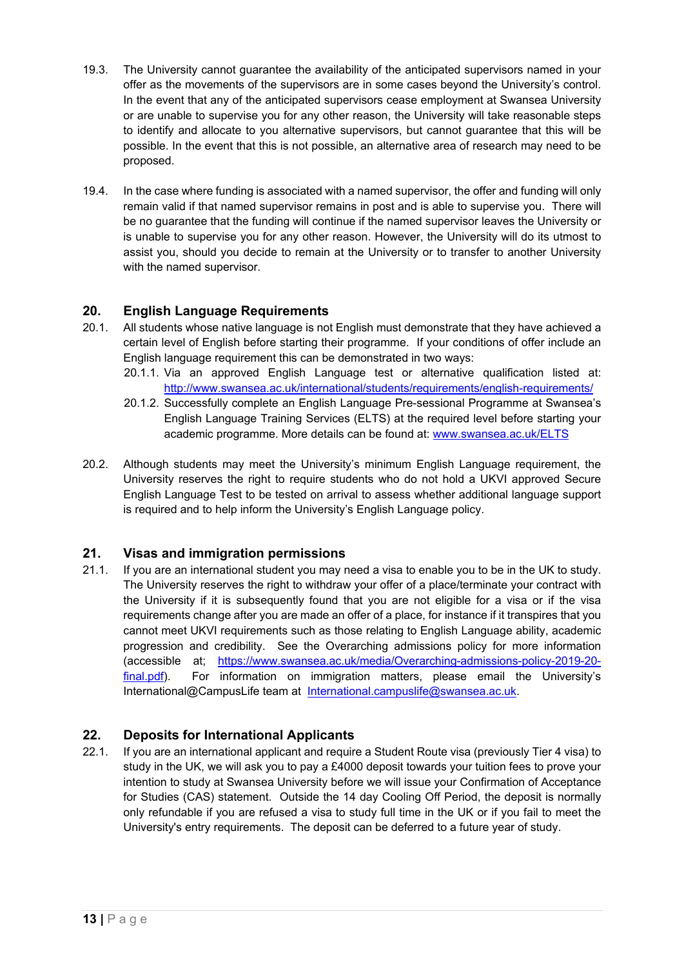- 19.3. The University cannot guarantee the availability of the anticipated supervisors named in your offer as the movements of the supervisors are in some cases beyond the University's control. In the event that any of the anticipated supervisors cease employment at Swansea University or are unable to supervise you for any other reason, the University will take reasonable steps to identify and allocate to you alternative supervisors, but cannot guarantee that this will be possible. In the event that this is not possible, an alternative area of research may need to be proposed.
- 19.4. In the case where funding is associated with a named supervisor, the offer and funding will only remain valid if that named supervisor remains in post and is able to supervise you. There will be no guarantee that the funding will continue if the named supervisor leaves the University or is unable to supervise you for any other reason. However, the University will do its utmost to assist you, should you decide to remain at the University or to transfer to another University with the named supervisor.

# **20. English Language Requirements**

- 20.1. All students whose native language is not English must demonstrate that they have achieved a certain level of English before starting their programme. If your conditions of offer include an English language requirement this can be demonstrated in two ways:
	- 20.1.1. Via an approved English Language test or alternative qualification listed at: <http://www.swansea.ac.uk/international/students/requirements/english-requirements/>
	- 20.1.2. Successfully complete an English Language Pre-sessional Programme at Swansea's English Language Training Services (ELTS) at the required level before starting your academic programme. More details can be found at: [www.swansea.ac.uk/ELTS](http://www.swansea.ac.uk/ELTS)
- 20.2. Although students may meet the University's minimum English Language requirement, the University reserves the right to require students who do not hold a UKVI approved Secure English Language Test to be tested on arrival to assess whether additional language support is required and to help inform the University's English Language policy.

# **21. Visas and immigration permissions**

21.1. If you are an international student you may need a visa to enable you to be in the UK to study. The University reserves the right to withdraw your offer of a place/terminate your contract with the University if it is subsequently found that you are not eligible for a visa or if the visa requirements change after you are made an offer of a place, for instance if it transpires that you cannot meet UKVI requirements such as those relating to English Language ability, academic progression and credibility. See the Overarching admissions policy for more information (accessible at; [https://www.swansea.ac.uk/media/Overarching-admissions-policy-2019-20](https://www.swansea.ac.uk/media/Overarching-admissions-policy-2019-20-final.pdf) [final.pdf\)](https://www.swansea.ac.uk/media/Overarching-admissions-policy-2019-20-final.pdf). For information on immigration matters, please email the University's International@CampusLife team at [International.campuslife@swansea.ac.uk.](mailto:International.campuslife@swansea.ac.uk)

# **22. Deposits for International Applicants**

22.1. If you are an international applicant and require a Student Route visa (previously Tier 4 visa) to study in the UK, we will ask you to pay a £4000 deposit towards your tuition fees to prove your intention to study at Swansea University before we will issue your Confirmation of Acceptance for Studies (CAS) statement. Outside the 14 day Cooling Off Period, the deposit is normally only refundable if you are refused a visa to study full time in the UK or if you fail to meet the University's entry requirements. The deposit can be deferred to a future year of study.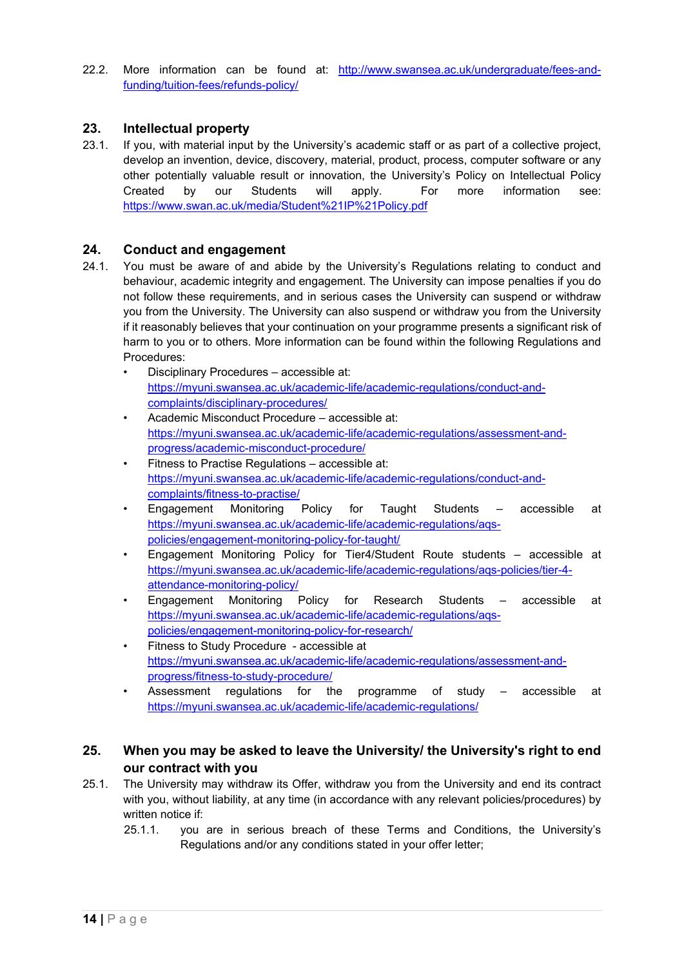22.2. More information can be found at: [http://www.swansea.ac.uk/undergraduate/fees-and](http://www.swansea.ac.uk/undergraduate/fees-and-funding/tuition-fees/refunds-policy/)[funding/tuition-fees/refunds-policy/](http://www.swansea.ac.uk/undergraduate/fees-and-funding/tuition-fees/refunds-policy/)

#### **23. Intellectual property**

23.1. If you, with material input by the University's academic staff or as part of a collective project, develop an invention, device, discovery, material, product, process, computer software or any other potentially valuable result or innovation, the University's Policy on Intellectual Policy Created by our Students will apply. For more information see: <https://www.swan.ac.uk/media/Student%21IP%21Policy.pdf>

# **24. Conduct and engagement**

- <span id="page-13-1"></span>24.1. You must be aware of and abide by the University's Regulations relating to conduct and behaviour, academic integrity and engagement. The University can impose penalties if you do not follow these requirements, and in serious cases the University can suspend or withdraw you from the University. The University can also suspend or withdraw you from the University if it reasonably believes that your continuation on your programme presents a significant risk of harm to you or to others. More information can be found within the following Regulations and Procedures:
	- Disciplinary Procedures accessible at: [https://myuni.swansea.ac.uk/academic-life/academic-regulations/conduct-and](https://myuni.swansea.ac.uk/academic-life/academic-regulations/conduct-and-complaints/disciplinary-procedures/)[complaints/disciplinary-procedures/](https://myuni.swansea.ac.uk/academic-life/academic-regulations/conduct-and-complaints/disciplinary-procedures/)
	- Academic Misconduct Procedure accessible at: [https://myuni.swansea.ac.uk/academic-life/academic-regulations/assessment-and](https://myuni.swansea.ac.uk/academic-life/academic-regulations/assessment-and-progress/academic-misconduct-procedure/)[progress/academic-misconduct-procedure/](https://myuni.swansea.ac.uk/academic-life/academic-regulations/assessment-and-progress/academic-misconduct-procedure/)
	- Fitness to Practise Regulations accessible at: [https://myuni.swansea.ac.uk/academic-life/academic-regulations/conduct-and](https://myuni.swansea.ac.uk/academic-life/academic-regulations/conduct-and-complaints/fitness-to-practise/)[complaints/fitness-to-practise/](https://myuni.swansea.ac.uk/academic-life/academic-regulations/conduct-and-complaints/fitness-to-practise/)
	- Engagement Monitoring Policy for Taught Students accessible at [https://myuni.swansea.ac.uk/academic-life/academic-regulations/aqs](https://myuni.swansea.ac.uk/academic-life/academic-regulations/aqs-policies/engagement-monitoring-policy-for-taught/)[policies/engagement-monitoring-policy-for-taught/](https://myuni.swansea.ac.uk/academic-life/academic-regulations/aqs-policies/engagement-monitoring-policy-for-taught/)
	- Engagement Monitoring Policy for Tier4/Student Route students accessible at [https://myuni.swansea.ac.uk/academic-life/academic-regulations/aqs-policies/tier-4](https://myuni.swansea.ac.uk/academic-life/academic-regulations/aqs-policies/tier-4-attendance-monitoring-policy/) [attendance-monitoring-policy/](https://myuni.swansea.ac.uk/academic-life/academic-regulations/aqs-policies/tier-4-attendance-monitoring-policy/)
	- Engagement Monitoring Policy for Research Students accessible at [https://myuni.swansea.ac.uk/academic-life/academic-regulations/aqs](https://myuni.swansea.ac.uk/academic-life/academic-regulations/aqs-policies/engagement-monitoring-policy-for-research/)[policies/engagement-monitoring-policy-for-research/](https://myuni.swansea.ac.uk/academic-life/academic-regulations/aqs-policies/engagement-monitoring-policy-for-research/)
	- Fitness to Study Procedure accessible at [https://myuni.swansea.ac.uk/academic-life/academic-regulations/assessment-and](https://myuni.swansea.ac.uk/academic-life/academic-regulations/assessment-and-progress/fitness-to-study-procedure/)[progress/fitness-to-study-procedure/](https://myuni.swansea.ac.uk/academic-life/academic-regulations/assessment-and-progress/fitness-to-study-procedure/)
	- Assessment regulations for the programme of study accessible at <https://myuni.swansea.ac.uk/academic-life/academic-regulations/>

# <span id="page-13-0"></span>**25. When you may be asked to leave the University/ the University's right to end our contract with you**

- 25.1. The University may withdraw its Offer, withdraw you from the University and end its contract with you, without liability, at any time (in accordance with any relevant policies/procedures) by written notice if:
	- 25.1.1. you are in serious breach of these Terms and Conditions, the University's Regulations and/or any conditions stated in your offer letter;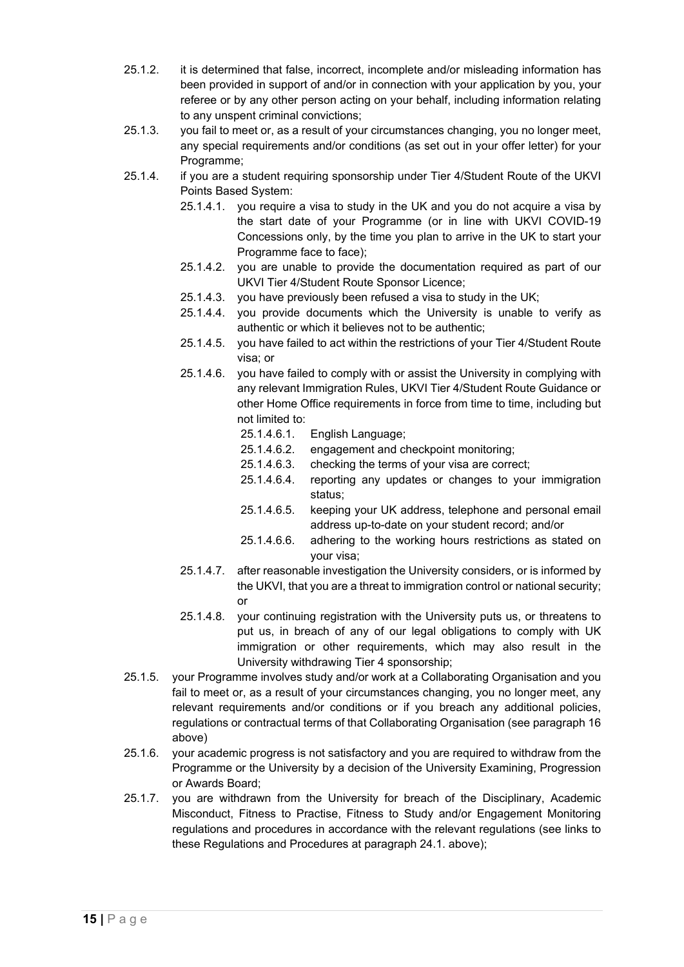- 25.1.2. it is determined that false, incorrect, incomplete and/or misleading information has been provided in support of and/or in connection with your application by you, your referee or by any other person acting on your behalf, including information relating to any unspent criminal convictions;
- 25.1.3. you fail to meet or, as a result of your circumstances changing, you no longer meet, any special requirements and/or conditions (as set out in your offer letter) for your Programme;
- 25.1.4. if you are a student requiring sponsorship under Tier 4/Student Route of the UKVI Points Based System:
	- 25.1.4.1. you require a visa to study in the UK and you do not acquire a visa by the start date of your Programme (or in line with UKVI COVID-19 Concessions only, by the time you plan to arrive in the UK to start your Programme face to face);
	- 25.1.4.2. you are unable to provide the documentation required as part of our UKVI Tier 4/Student Route Sponsor Licence;
	- 25.1.4.3. you have previously been refused a visa to study in the UK;
	- 25.1.4.4. you provide documents which the University is unable to verify as authentic or which it believes not to be authentic;
	- 25.1.4.5. you have failed to act within the restrictions of your Tier 4/Student Route visa; or
	- 25.1.4.6. you have failed to comply with or assist the University in complying with any relevant Immigration Rules, UKVI Tier 4/Student Route Guidance or other Home Office requirements in force from time to time, including but not limited to:
		- 25.1.4.6.1. English Language;
		- 25.1.4.6.2. engagement and checkpoint monitoring;
		- 25.1.4.6.3. checking the terms of your visa are correct;
		- 25.1.4.6.4. reporting any updates or changes to your immigration status;
		- 25.1.4.6.5. keeping your UK address, telephone and personal email address up-to-date on your student record; and/or
		- 25.1.4.6.6. adhering to the working hours restrictions as stated on your visa;
	- 25.1.4.7. after reasonable investigation the University considers, or is informed by the UKVI, that you are a threat to immigration control or national security; or
	- 25.1.4.8. your continuing registration with the University puts us, or threatens to put us, in breach of any of our legal obligations to comply with UK immigration or other requirements, which may also result in the University withdrawing Tier 4 sponsorship;
- 25.1.5. your Programme involves study and/or work at a Collaborating Organisation and you fail to meet or, as a result of your circumstances changing, you no longer meet, any relevant requirements and/or conditions or if you breach any additional policies, regulations or contractual terms of that Collaborating Organisation (see paragraph [16](#page-9-0) above)
- 25.1.6. your academic progress is not satisfactory and you are required to withdraw from the Programme or the University by a decision of the University Examining, Progression or Awards Board;
- 25.1.7. you are withdrawn from the University for breach of the Disciplinary, Academic Misconduct, Fitness to Practise, Fitness to Study and/or Engagement Monitoring regulations and procedures in accordance with the relevant regulations (see links to these Regulations and Procedures at paragraph [24.1.](#page-13-1) above);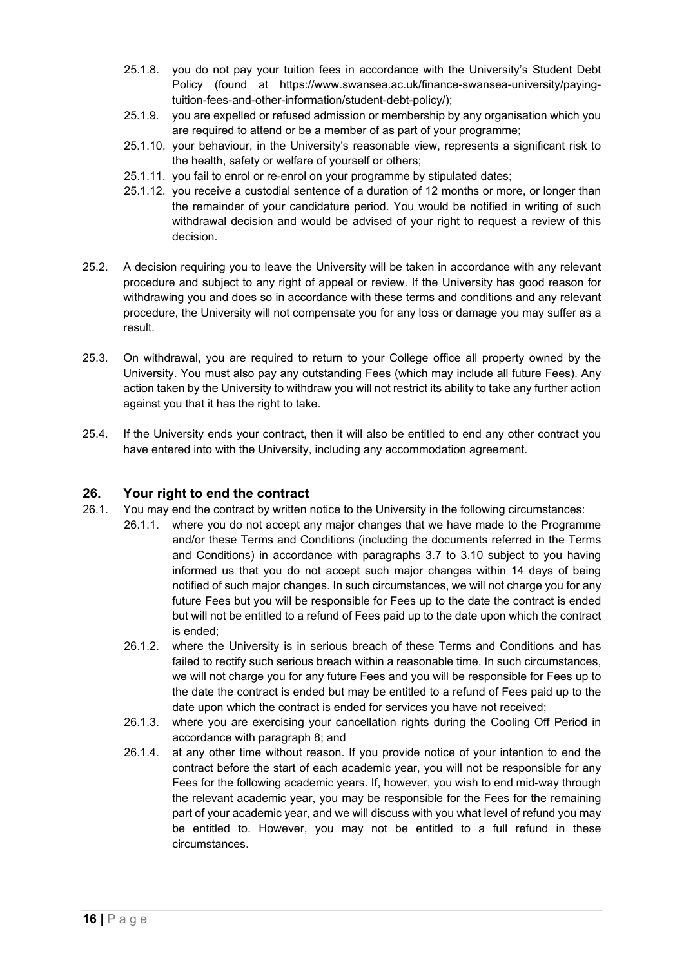- 25.1.8. you do not pay your tuition fees in accordance with the University's Student Debt Policy (found at https://www.swansea.ac.uk/finance-swansea-university/payingtuition-fees-and-other-information/student-debt-policy/);
- 25.1.9. you are expelled or refused admission or membership by any organisation which you are required to attend or be a member of as part of your programme;
- 25.1.10. your behaviour, in the University's reasonable view, represents a significant risk to the health, safety or welfare of yourself or others;
- 25.1.11. you fail to enrol or re-enrol on your programme by stipulated dates;
- 25.1.12. you receive a custodial sentence of a duration of 12 months or more, or longer than the remainder of your candidature period. You would be notified in writing of such withdrawal decision and would be advised of your right to request a review of this decision.
- 25.2. A decision requiring you to leave the University will be taken in accordance with any relevant procedure and subject to any right of appeal or review. If the University has good reason for withdrawing you and does so in accordance with these terms and conditions and any relevant procedure, the University will not compensate you for any loss or damage you may suffer as a result.
- 25.3. On withdrawal, you are required to return to your College office all property owned by the University. You must also pay any outstanding Fees (which may include all future Fees). Any action taken by the University to withdraw you will not restrict its ability to take any further action against you that it has the right to take.
- 25.4. If the University ends your contract, then it will also be entitled to end any other contract you have entered into with the University, including any accommodation agreement.

#### <span id="page-15-0"></span>**26. Your right to end the contract**

- 26.1. You may end the contract by written notice to the University in the following circumstances:
	- 26.1.1. where you do not accept any major changes that we have made to the Programme and/or these Terms and Conditions (including the documents referred in the Terms and Conditions) in accordance with paragraphs [3.7](#page-3-0) to [3.10](#page-3-1) subject to you having informed us that you do not accept such major changes within 14 days of being notified of such major changes. In such circumstances, we will not charge you for any future Fees but you will be responsible for Fees up to the date the contract is ended but will not be entitled to a refund of Fees paid up to the date upon which the contract is ended;
		- 26.1.2. where the University is in serious breach of these Terms and Conditions and has failed to rectify such serious breach within a reasonable time. In such circumstances, we will not charge you for any future Fees and you will be responsible for Fees up to the date the contract is ended but may be entitled to a refund of Fees paid up to the date upon which the contract is ended for services you have not received;
		- 26.1.3. where you are exercising your cancellation rights during the Cooling Off Period in accordance with paragraph [8;](#page-5-0) and
		- 26.1.4. at any other time without reason. If you provide notice of your intention to end the contract before the start of each academic year, you will not be responsible for any Fees for the following academic years. If, however, you wish to end mid-way through the relevant academic year, you may be responsible for the Fees for the remaining part of your academic year, and we will discuss with you what level of refund you may be entitled to. However, you may not be entitled to a full refund in these circumstances.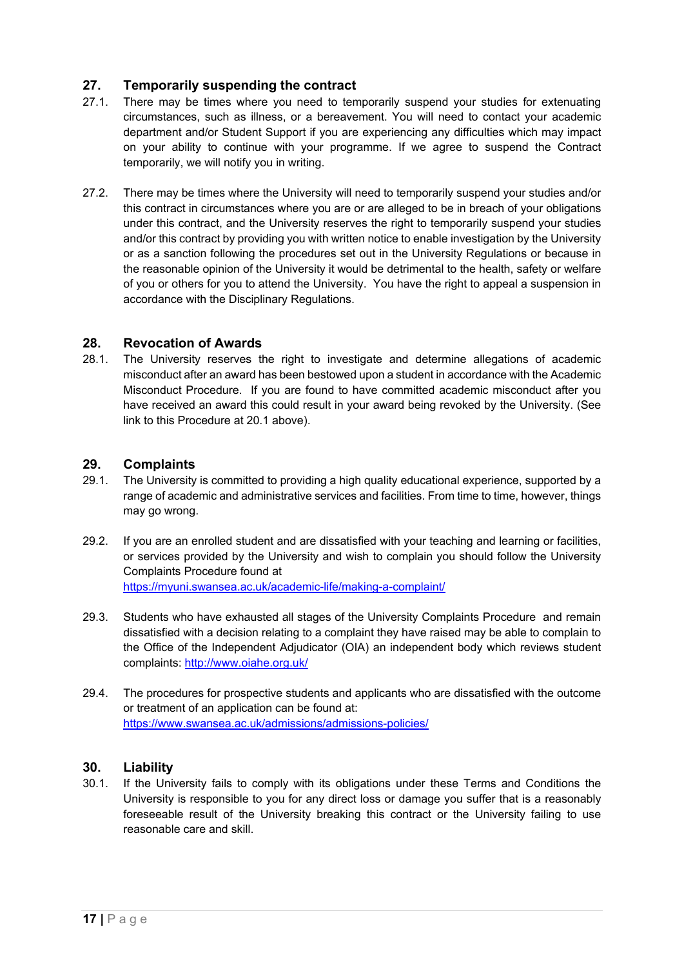# <span id="page-16-0"></span>**27. Temporarily suspending the contract**

- 27.1. There may be times where you need to temporarily suspend your studies for extenuating circumstances, such as illness, or a bereavement. You will need to contact your academic department and/or Student Support if you are experiencing any difficulties which may impact on your ability to continue with your programme. If we agree to suspend the Contract temporarily, we will notify you in writing.
- 27.2. There may be times where the University will need to temporarily suspend your studies and/or this contract in circumstances where you are or are alleged to be in breach of your obligations under this contract, and the University reserves the right to temporarily suspend your studies and/or this contract by providing you with written notice to enable investigation by the University or as a sanction following the procedures set out in the University Regulations or because in the reasonable opinion of the University it would be detrimental to the health, safety or welfare of you or others for you to attend the University. You have the right to appeal a suspension in accordance with the Disciplinary Regulations.

#### **28. Revocation of Awards**

28.1. The University reserves the right to investigate and determine allegations of academic misconduct after an award has been bestowed upon a student in accordance with the Academic Misconduct Procedure. If you are found to have committed academic misconduct after you have received an award this could result in your award being revoked by the University. (See link to this Procedure at 20.1 above).

#### **29. Complaints**

- 29.1. The University is committed to providing a high quality educational experience, supported by a range of academic and administrative services and facilities. From time to time, however, things may go wrong.
- 29.2. If you are an enrolled student and are dissatisfied with your teaching and learning or facilities, or services provided by the University and wish to complain you should follow the University Complaints Procedure found at <https://myuni.swansea.ac.uk/academic-life/making-a-complaint/>
- 29.3. Students who have exhausted all stages of the University Complaints Procedure and remain dissatisfied with a decision relating to a complaint they have raised may be able to complain to the Office of the Independent Adjudicator (OIA) an independent body which reviews student complaints:<http://www.oiahe.org.uk/>
- 29.4. The procedures for prospective students and applicants who are dissatisfied with the outcome or treatment of an application can be found at: <https://www.swansea.ac.uk/admissions/admissions-policies/>

#### <span id="page-16-1"></span>**30. Liability**

30.1. If the University fails to comply with its obligations under these Terms and Conditions the University is responsible to you for any direct loss or damage you suffer that is a reasonably foreseeable result of the University breaking this contract or the University failing to use reasonable care and skill.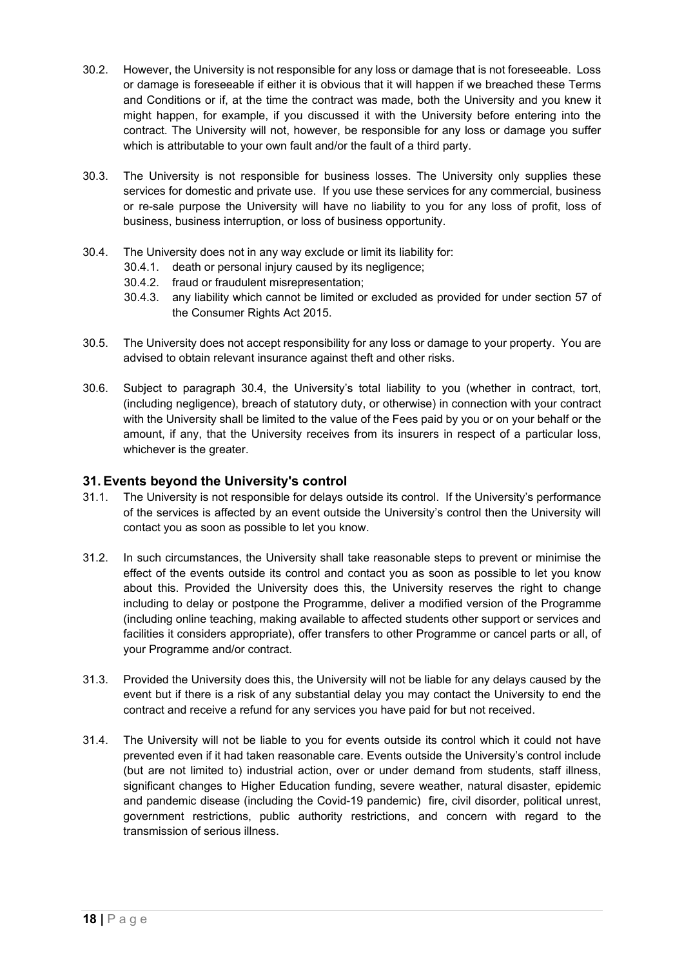- 30.2. However, the University is not responsible for any loss or damage that is not foreseeable. Loss or damage is foreseeable if either it is obvious that it will happen if we breached these Terms and Conditions or if, at the time the contract was made, both the University and you knew it might happen, for example, if you discussed it with the University before entering into the contract. The University will not, however, be responsible for any loss or damage you suffer which is attributable to your own fault and/or the fault of a third party.
- 30.3. The University is not responsible for business losses. The University only supplies these services for domestic and private use. If you use these services for any commercial, business or re-sale purpose the University will have no liability to you for any loss of profit, loss of business, business interruption, or loss of business opportunity.
- 30.4. The University does not in any way exclude or limit its liability for:
	- 30.4.1. death or personal injury caused by its negligence;
	- 30.4.2. fraud or fraudulent misrepresentation;
	- 30.4.3. any liability which cannot be limited or excluded as provided for under section 57 of the Consumer Rights Act 2015.
- 30.5. The University does not accept responsibility for any loss or damage to your property. You are advised to obtain relevant insurance against theft and other risks.
- 30.6. Subject to paragraph 30.4, the University's total liability to you (whether in contract, tort, (including negligence), breach of statutory duty, or otherwise) in connection with your contract with the University shall be limited to the value of the Fees paid by you or on your behalf or the amount, if any, that the University receives from its insurers in respect of a particular loss, whichever is the greater.

#### <span id="page-17-0"></span>**31. Events beyond the University's control**

- 31.1. The University is not responsible for delays outside its control. If the University's performance of the services is affected by an event outside the University's control then the University will contact you as soon as possible to let you know.
- 31.2. In such circumstances, the University shall take reasonable steps to prevent or minimise the effect of the events outside its control and contact you as soon as possible to let you know about this. Provided the University does this, the University reserves the right to change including to delay or postpone the Programme, deliver a modified version of the Programme (including online teaching, making available to affected students other support or services and facilities it considers appropriate), offer transfers to other Programme or cancel parts or all, of your Programme and/or contract.
- 31.3. Provided the University does this, the University will not be liable for any delays caused by the event but if there is a risk of any substantial delay you may contact the University to end the contract and receive a refund for any services you have paid for but not received.
- 31.4. The University will not be liable to you for events outside its control which it could not have prevented even if it had taken reasonable care. Events outside the University's control include (but are not limited to) industrial action, over or under demand from students, staff illness, significant changes to Higher Education funding, severe weather, natural disaster, epidemic and pandemic disease (including the Covid-19 pandemic) fire, civil disorder, political unrest, government restrictions, public authority restrictions, and concern with regard to the transmission of serious illness.